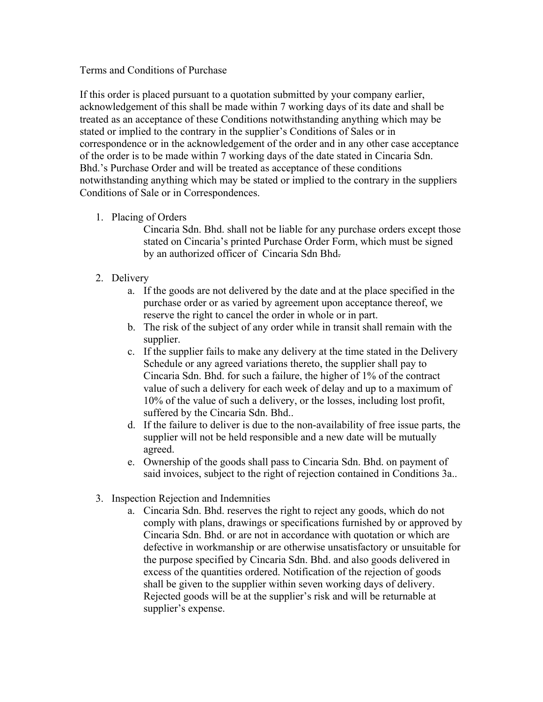## Terms and Conditions of Purchase

If this order is placed pursuant to a quotation submitted by your company earlier, acknowledgement of this shall be made within 7 working days of its date and shall be treated as an acceptance of these Conditions notwithstanding anything which may be stated or implied to the contrary in the supplier's Conditions of Sales or in correspondence or in the acknowledgement of the order and in any other case acceptance of the order is to be made within 7 working days of the date stated in Cincaria Sdn. Bhd.'s Purchase Order and will be treated as acceptance of these conditions notwithstanding anything which may be stated or implied to the contrary in the suppliers Conditions of Sale or in Correspondences.

1. Placing of Orders

Cincaria Sdn. Bhd. shall not be liable for any purchase orders except those stated on Cincaria's printed Purchase Order Form, which must be signed by an authorized officer of Cincaria Sdn Bhd.

- 2. Delivery
	- a. If the goods are not delivered by the date and at the place specified in the purchase order or as varied by agreement upon acceptance thereof, we reserve the right to cancel the order in whole or in part.
	- b. The risk of the subject of any order while in transit shall remain with the supplier.
	- c. If the supplier fails to make any delivery at the time stated in the Delivery Schedule or any agreed variations thereto, the supplier shall pay to Cincaria Sdn. Bhd. for such a failure, the higher of 1% of the contract value of such a delivery for each week of delay and up to a maximum of 10% of the value of such a delivery, or the losses, including lost profit, suffered by the Cincaria Sdn. Bhd..
	- d. If the failure to deliver is due to the non-availability of free issue parts, the supplier will not be held responsible and a new date will be mutually agreed.
	- e. Ownership of the goods shall pass to Cincaria Sdn. Bhd. on payment of said invoices, subject to the right of rejection contained in Conditions 3a..
- 3. Inspection Rejection and Indemnities
	- a. Cincaria Sdn. Bhd. reserves the right to reject any goods, which do not comply with plans, drawings or specifications furnished by or approved by Cincaria Sdn. Bhd. or are not in accordance with quotation or which are defective in workmanship or are otherwise unsatisfactory or unsuitable for the purpose specified by Cincaria Sdn. Bhd. and also goods delivered in excess of the quantities ordered. Notification of the rejection of goods shall be given to the supplier within seven working days of delivery. Rejected goods will be at the supplier's risk and will be returnable at supplier's expense.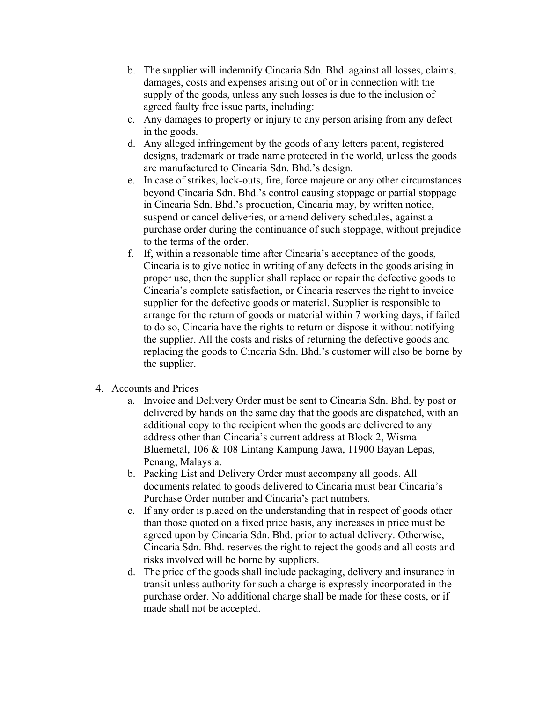- b. The supplier will indemnify Cincaria Sdn. Bhd. against all losses, claims, damages, costs and expenses arising out of or in connection with the supply of the goods, unless any such losses is due to the inclusion of agreed faulty free issue parts, including:
- c. Any damages to property or injury to any person arising from any defect in the goods.
- d. Any alleged infringement by the goods of any letters patent, registered designs, trademark or trade name protected in the world, unless the goods are manufactured to Cincaria Sdn. Bhd.'s design.
- e. In case of strikes, lock-outs, fire, force majeure or any other circumstances beyond Cincaria Sdn. Bhd.'s control causing stoppage or partial stoppage in Cincaria Sdn. Bhd.'s production, Cincaria may, by written notice, suspend or cancel deliveries, or amend delivery schedules, against a purchase order during the continuance of such stoppage, without prejudice to the terms of the order.
- f. If, within a reasonable time after Cincaria's acceptance of the goods, Cincaria is to give notice in writing of any defects in the goods arising in proper use, then the supplier shall replace or repair the defective goods to Cincaria's complete satisfaction, or Cincaria reserves the right to invoice supplier for the defective goods or material. Supplier is responsible to arrange for the return of goods or material within 7 working days, if failed to do so, Cincaria have the rights to return or dispose it without notifying the supplier. All the costs and risks of returning the defective goods and replacing the goods to Cincaria Sdn. Bhd.'s customer will also be borne by the supplier.
- 4. Accounts and Prices
	- a. Invoice and Delivery Order must be sent to Cincaria Sdn. Bhd. by post or delivered by hands on the same day that the goods are dispatched, with an additional copy to the recipient when the goods are delivered to any address other than Cincaria's current address at Block 2, Wisma Bluemetal, 106 & 108 Lintang Kampung Jawa, 11900 Bayan Lepas, Penang, Malaysia.
	- b. Packing List and Delivery Order must accompany all goods. All documents related to goods delivered to Cincaria must bear Cincaria's Purchase Order number and Cincaria's part numbers.
	- c. If any order is placed on the understanding that in respect of goods other than those quoted on a fixed price basis, any increases in price must be agreed upon by Cincaria Sdn. Bhd. prior to actual delivery. Otherwise, Cincaria Sdn. Bhd. reserves the right to reject the goods and all costs and risks involved will be borne by suppliers.
	- d. The price of the goods shall include packaging, delivery and insurance in transit unless authority for such a charge is expressly incorporated in the purchase order. No additional charge shall be made for these costs, or if made shall not be accepted.